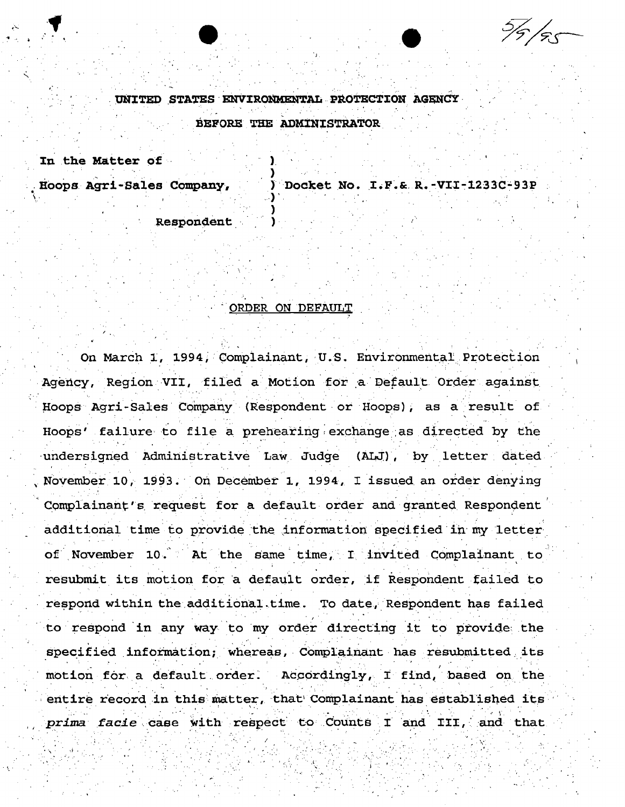$\frac{5}{5}$ /55

UNITED STATES ENVIRONMENTAL PROTECTION AGENCY BEFORE THE ADMINISTRATOR

In the Matter of

Hoops Agri-Sales Company,

Docket No. I.F.& R.-VII-1233C-93P

Respondent

## ORDER ON DEFAULT

On March 1, 1994, Complainant, U.S. Environmental Protection Agency, Region VII, filed a Motion for a Default Order against Hoops Agri-Sales Company (Respondent or Hoops), as a result of Hoops' failure to file a prehearing exchange as directed by the undersigned Administrative Law Judge (ALJ), by letter dated November 10, 1993. On December 1, 1994, I issued an order denying Complainant's request for a default order and granted Respondent additional time to provide the information specified in my letter of November 10. At the same time, I invited Complainant to resubmit its motion for a default order, if Respondent failed to respond within the additional time. To date, Respondent has failed to respond in any way to my order directing it to provide the specified information; whereas, Complainant has resubmitted its motion for a default order. Accordingly, I find, based on the entire record in this matter, that Complainant has established its prima facie case with respect to Counts I and III, and that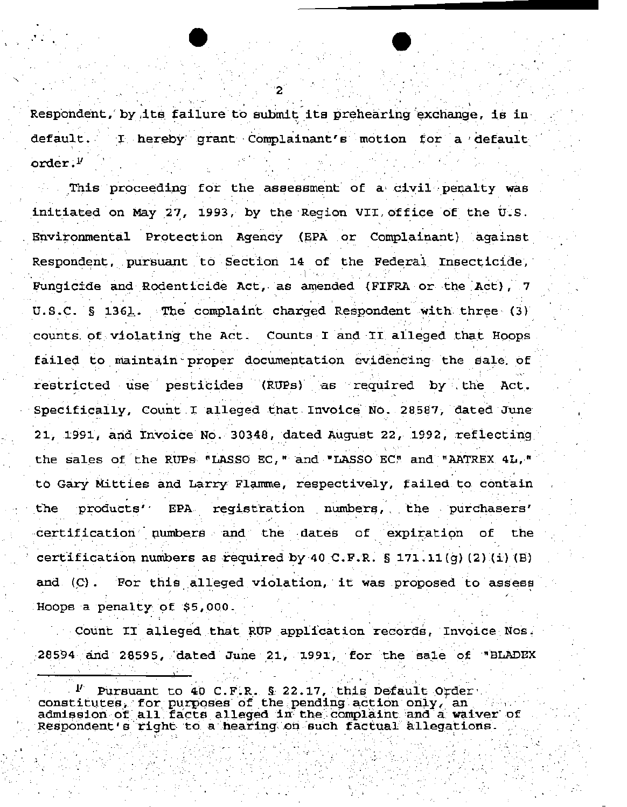Respondent, by its failure to submit its prehearing exchange, is in default. I hereby grant Complainant's motion for a default order. $^{\nu}$ 

This proceeding for the assessment of a civil penalty was initiated on May 27, 1993, by the Region VII office of the U.S. Environmental Protection Agency (EPA or Complainant) against Respondent, pursuant to Section 14 of the Federal Insecticide, Fungicide and Rodenticide Act, as amended (FIFRA or the Act), 7 U.S.C. § 1361. The complaint charged Respondent with three (3) counts of violating the Act. Counts I and II alleged that Hoops failed to maintain proper documentation evidencing the sale of restricted use pesticides (RUPs) as required by the Act. Specifically, Count I alleged that Invoice No. 28587, dated June 21, 1991, and Invoice No. 30348, dated August 22, 1992, reflecting the sales of the RUPs "LASSO EC, " and "LASSO EC" and "AATREX 4L, " to Gary Mitties and Larry Flamme, respectively, failed to contain products' **EPA** registration numbers, the purchasers' the. certification numbers and the dates of expiration the of. certification numbers as required by 40 C.F.R.  $\S$  171.11(q)(2)(i)(B) For this alleged violation, it was proposed to assess and  $(C)$ . Hoops a penalty of \$5,000.

Count II alleged that RUP application records. Invoice Nos. 28594 and 28595, dated June 21, 1991, for the sale of "BLADEX

Pursuant to 40 C.F.R. § 22.17, this Default Order constitutes, for purposes of the pending action only, an admission of all facts alleged in the complaint and a waiver of Respondent's right to a hearing on such factual allegations.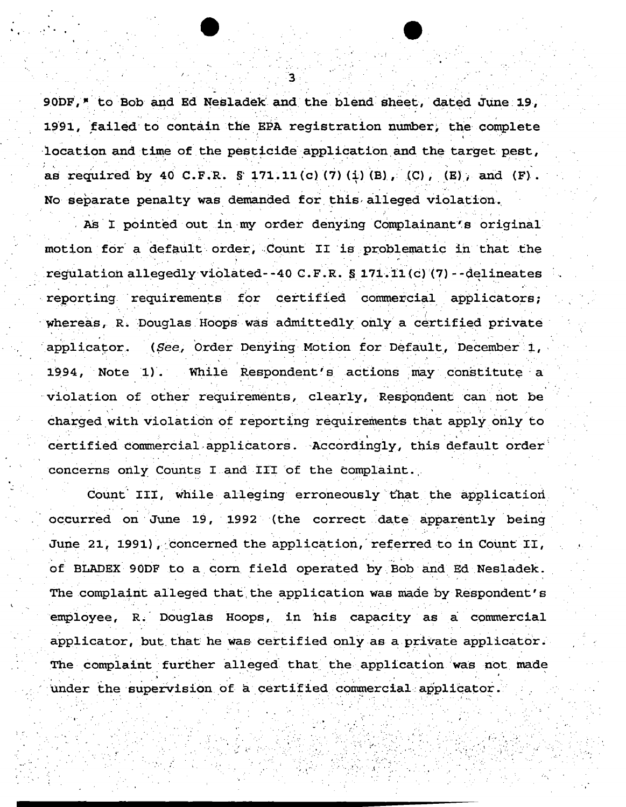90DF," to Bob and Ed Nesladek and the blend sheet, dated June 19, 1991, failed to contain the EPA registration number, the complete location and time of the pesticide application and the target pest, as required by 40 C.F.R.  $\hat{S}$  171.11(c)(7)(i)(B), (C), (E), and (F). No separate penalty was demanded for this alleged violation.

As I pointed out in my order denying Complainant's original motion for a default order, Count II is problematic in that the regulation allegedly violated--40 C.F.R. § 171.11(c)(7)--delineates reporting requirements for certified commercial applicators; whereas, R. Douglas Hoops was admittedly only a certified private (See, Order Denying Motion for Default, December 1, applicator. 1994, Note 1). While Respondent's actions may constitute a violation of other requirements, clearly, Respondent can not be charged with violation of reporting requirements that apply only to certified commercial applicators. Accordingly, this default order concerns only Counts I and III of the complaint.

Count III, while alleging erroneously that the application occurred on June 19, 1992 (the correct date apparently being June 21, 1991), concerned the application, referred to in Count II, of BLADEX 90DF to a corn field operated by Bob and Ed Nesladek. The complaint alleged that the application was made by Respondent's employee, R. Douglas Hoops, in his capacity as a commercial applicator, but that he was certified only as a private applicator. The complaint further alleged that the application was not made under the supervision of a certified commercial applicator.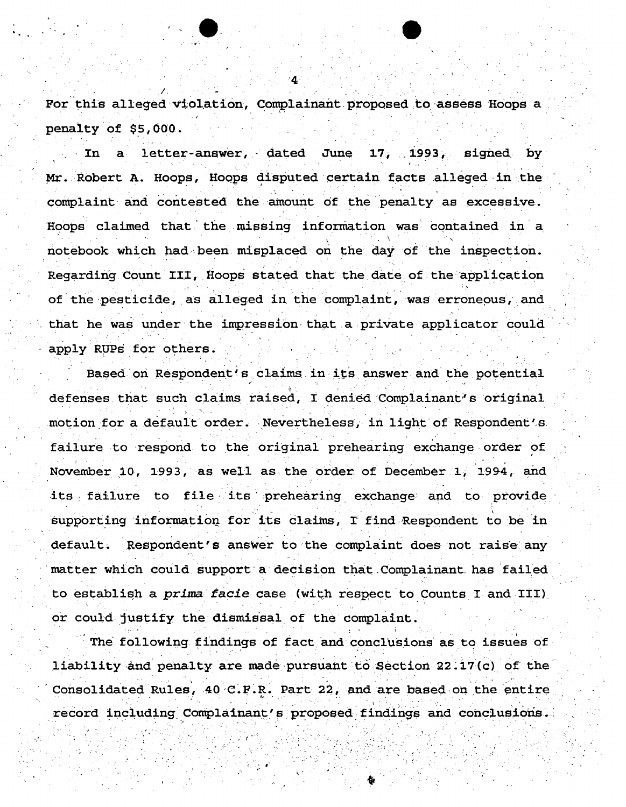For this alleged violation, Complainant proposed to assess Hoops a penalty of \$5,000.

letter-answer, dated June 17, 1993, In signed by Mr. Robert A. Hoops, Hoops disputed certain facts alleged in the complaint and contested the amount of the penalty as excessive. Hoops claimed that the missing information was contained in a notebook which had been misplaced on the day of the inspection. Regarding Count III, Hoops stated that the date of the application of the pesticide, as alleged in the complaint, was erroneous, and that he was under the impression that a private applicator could apply RUPs for others.

Based on Respondent's claims in its answer and the potential defenses that such claims raised, I denied Complainant's original motion for a default order. Nevertheless, in light of Respondent's failure to respond to the original prehearing exchange order of November 10, 1993, as well as the order of December 1, 1994, and its failure to file its prehearing exchange and to provide supporting information for its claims, I find Respondent to be in default. Respondent's answer to the complaint does not raise any matter which could support a decision that Complainant has failed to establish a prima facie case (with respect to Counts I and III) or could justify the dismissal of the complaint.

The following findings of fact and conclusions as to issues of liability and penalty are made pursuant to Section 22.17(c) of the Consolidated Rules, 40 C.F.R. Part 22, and are based on the entire record including Complainant's proposed findings and conclusions.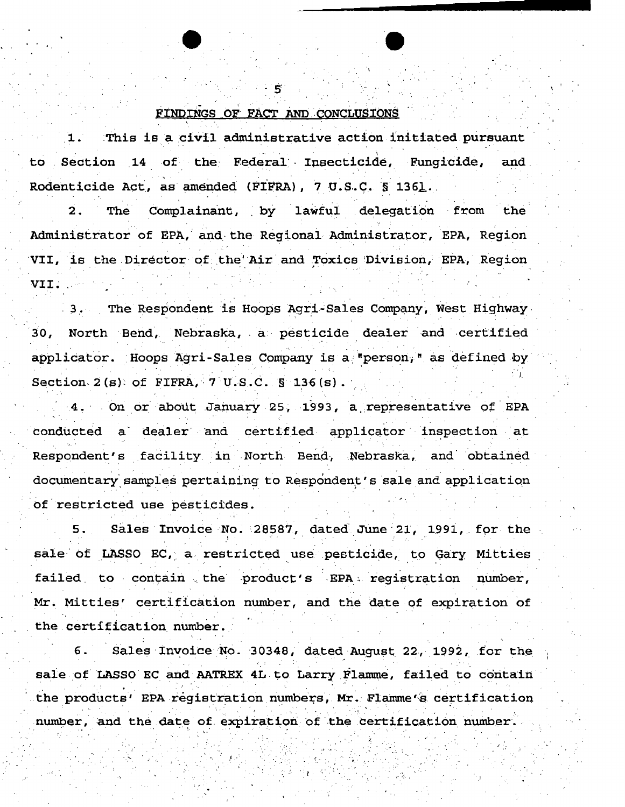## FINDINGS OF FACT AND CONCLUSIONS

This is a civil administrative action initiated pursuant  $\mathbf{1}$ . Section 14 of the Federal Insecticide, Fungicide, to and. Rodenticide Act, as amended (FIFRA), 7 U.S.C. § 1361.

 $\overline{2}$ . Complainant, by lawful delegation from The the Administrator of EPA, and the Regional Administrator, EPA, Region VII, is the Director of the Air and Toxics Division, EPA, Region VII.

3. The Respondent is Hoops Agri-Sales Company, West Highway North Bend, Nebraska, a pesticide dealer and certified 30. applicator. Hoops Agri-Sales Company is a "person," as defined by Section  $2(s)$  of FIFRA, 7 U.S.C.  $S$  136(s).

4. On or about January 25, 1993, a representative of EPA conducted a dealer and certified applicator inspection at Respondent's facility in North Bend, Nebraska, and obtained documentary samples pertaining to Respondent's sale and application of restricted use pesticides.

Sales Invoice No. 28587, dated June 21, 1991, for the sale of LASSO EC, a restricted use pesticide, to Gary Mitties failed to contain the product's EPA registration number, Mr. Mitties' certification number, and the date of expiration of the certification number.

Sales Invoice No. 30348, dated August 22, 1992, for the б. sale of LASSO EC and AATREX 4L to Larry Flamme, failed to contain the products' EPA registration numbers, Mr. Flamme's certification number, and the date of expiration of the certification number.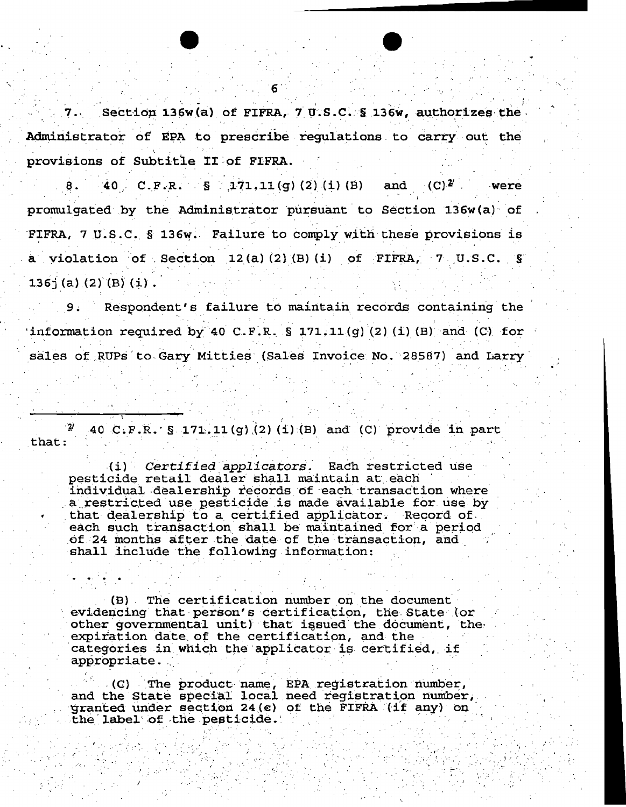Section 136w(a) of FIFRA, 7 U.S.C. § 136w, authorizes the Administrator of EPA to prescribe regulations to carry out the provisions of Subtitle II of FIFRA.

40 C.F.R.  $S = 171.11(g)$  (2) (1) (B) and (C)<sup>2</sup> were 8. promulgated by the Administrator pursuant to Section 136w(a) of FIFRA, 7 U.S.C. § 136w. Failure to comply with these provisions is a violation of Section 12(a)(2)(B)(i) of FIFRA, 7 U.S.C. §  $136$ <sup>2</sup> (a) (2) (B) (i).

Respondent's failure to maintain records containing the  $9:$ information required by 40 C.F.R. § 171.11(q)(2)(i)(B) and (C) for sales of RUPs to Gary Mitties (Sales Invoice No. 28587) and Larry

 $\overline{2}$ 40 C.F.R. § 171.11(g)(2)(1)(B) and (C) provide in part that:

(i) Certified applicators. Each restricted use pesticide retail dealer shall maintain at each individual dealership records of each transaction where a restricted use pesticide is made available for use by that dealership to a certified applicator. Record of each such transaction shall be maintained for a period of 24 months after the date of the transaction, and shall include the following information:

(B) The certification number on the document evidencing that person's certification, the State (or other governmental unit) that issued the document, the expiration date of the certification, and the categories in which the applicator is certified, if appropriate.

(C) The product name, EPA registration number,<br>and the State special local need registration number, granted under section 24(c) of the FIFRA (if any) on the label of the pesticide.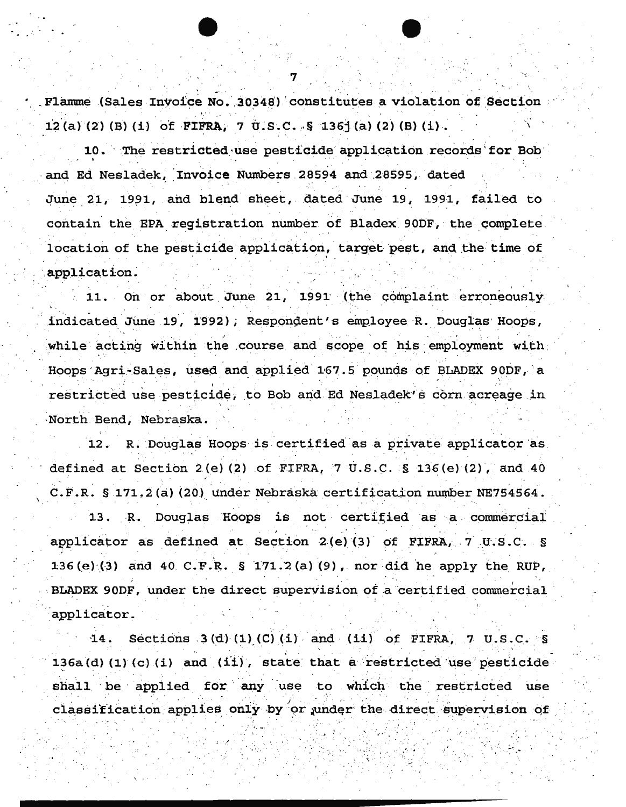Flamme (Sales Invoice No. 30348) constitutes a violation of Section 12(a) (2) (B) (1) of FIFRA, 7 U.S.C. § 1361(a) (2) (B) (1).

10. The restricted use pesticide application records for Bob and Ed Nesladek, Invoice Numbers 28594 and 28595, dated June 21, 1991, and blend sheet, dated June 19, 1991, failed to contain the EPA registration number of Bladex 90DF, the complete location of the pesticide application, target pest, and the time of application.

11. On or about June 21, 1991 (the complaint erroneously indicated June 19, 1992), Respondent's employee R. Douglas Hoops, while acting within the course and scope of his employment with Hoops Agri-Sales, used and applied 167.5 pounds of BLADEX 90DF, a restricted use pesticide, to Bob and Ed Nesladek's corn acreage in North Bend, Nebraska.

R. Douglas Hoops is certified as a private applicator as defined at Section 2(e)(2) of FIFRA, 7 U.S.C. § 136(e)(2), and 40 C.F.R. § 171.2(a)(20) under Nebraska certification number NE754564. 13. R. Douglas Hoops is not certified as a commercial applicator as defined at Section 2(e)(3) of FIFRA, 7 U.S.C. § 136(e)(3) and 40 C.F.R.  $\S$  171.2(a)(9), nor did he apply the RUP, BLADEX 90DF, under the direct supervision of a certified commercial applicator.

Sections  $3(d) (1) (C) (i)$  and  $(ii)$  of FIFRA, 7 U.S.C. S  $14.$ 136a(d)(1)(c)(i) and (ii), state that a restricted use pesticide shall be applied for any use to which the restricted use classification applies only by or under the direct supervision of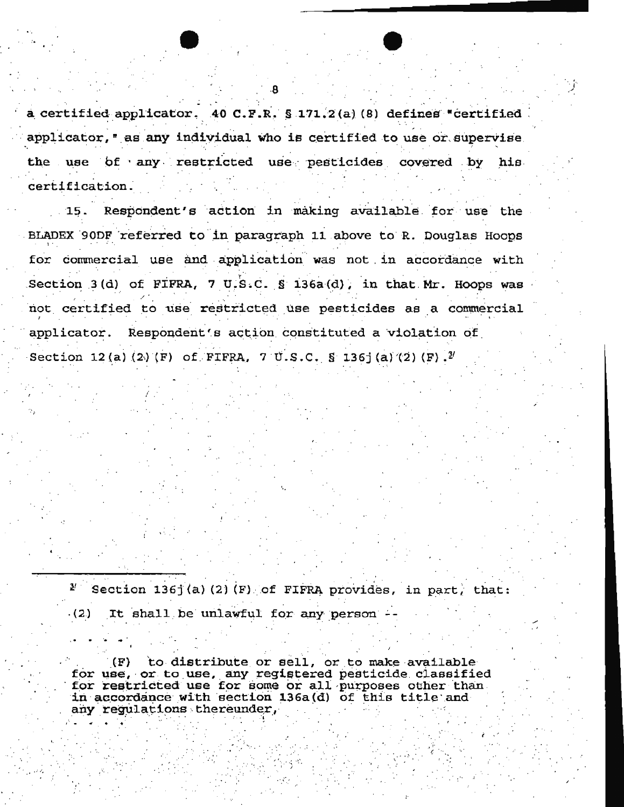a certified applicator. 40 C.F.R. § 171.2(a)(8) defines "certified applicator, " as any individual who is certified to use or supervise. the use of any restricted use pesticides covered by his certification.

15. Respondent's action in making available for use the BLADEX 90DF referred to in paragraph 11 above to R. Douglas Hoops for commercial use and application was not in accordance with Section 3(d) of FIFRA, 7 U.S.C. § 136a(d), in that Mr. Hoops was not certified to use restricted use pesticides as a commercial applicator. Respondent's action constituted a violation of Section 12(a)(2)(F) of FIFRA, 7 U.S.C. § 136 (a)(2)(F).<sup>2</sup>

 $2<sup>t</sup>$ Section 1361(a)(2)(F) of FIFRA provides, in part, that: It shall be unlawful for any person - $(2)$ 

to distribute or sell, or to make available  $(F)$ for use, or to use, any registered pesticide classified<br>for restricted use for some or all purposes other than in accordance with section 136a(d) of this title and any regulations thereunder,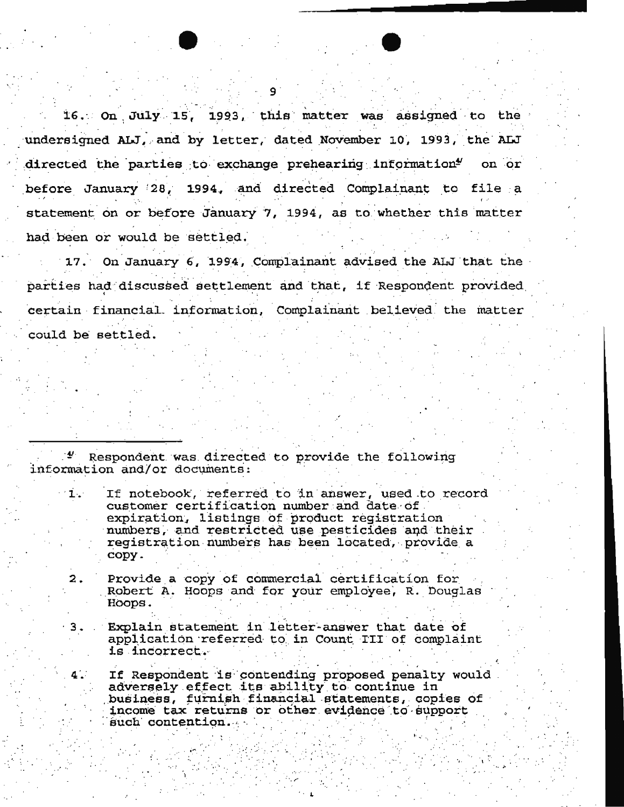16. On July 15, 1993, this matter was assigned to the undersigned ALJ, and by letter, dated November 10, 1993, the ALJ directed the parties to exchange prehearing information<sup>4</sup> on or before January 28, 1994, and directed Complainant to file a statement on or before January 7, 1994, as to whether this matter had been or would be settled.

17. On January 6, 1994, Complainant advised the ALJ that the parties had discussed settlement and that, if Respondent provided certain financial information, Complainant believed the matter could be settled.

Respondent was directed to provide the following information and/or documents:

4.

- If notebook, referred to in answer, used to record  $1.1$ customer certification number and date of expiration, listings of product registration numbers, and restricted use pesticides and their registration numbers has been located, provide a copy.
- Provide a copy of commercial certification for  $\mathbf{2}$ . Robert A. Hoops and for your employee, R. Douglas Hoops.
- Explain statement in letter-answer that date of  $3.$ application referred to in Count III of complaint is incorrect.
	- If Respondent is contending proposed penalty would adversely effect its ability to continue in business, furnish financial statements, copies of income tax returns or other evidence to support such contention.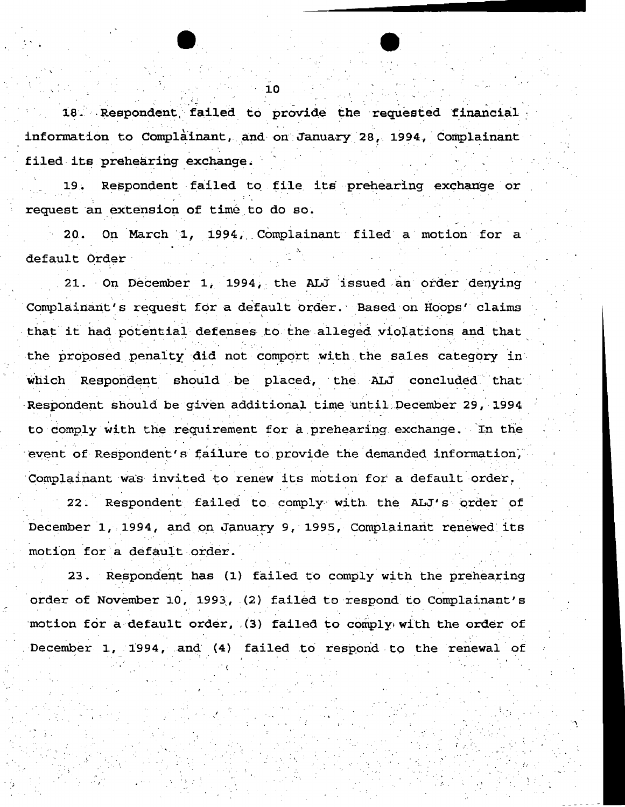18. Respondent failed to provide the requested financial information to Complainant, and on January 28, 1994, Complainant filed its prehearing exchange.

Respondent failed to file its prehearing exchange or request an extension of time to do so.

20. On March 1, 1994, Complainant filed a motion for a default Order

21. On December 1, 1994, the ALJ issued an order denying Complainant's request for a default order. Based on Hoops' claims that it had potential defenses to the alleged violations and that the proposed penalty did not comport with the sales category in which Respondent should be placed, the ALJ concluded that Respondent should be given additional time until December 29, 1994 to comply with the requirement for a prehearing exchange. In the event of Respondent's failure to provide the demanded information, Complainant was invited to renew its motion for a default order. 22. Respondent failed to comply with the ALJ's order of December 1, 1994, and on January 9, 1995, Complainant renewed its motion for a default order.

23. Respondent has (1) failed to comply with the prehearing order of November 10, 1993, (2) failed to respond to Complainant's motion for a default order, (3) failed to comply with the order of December 1, 1994, and (4) failed to respond to the renewal of

. is a set of  $\mathcal{L}^{\mathcal{L}}$ 

 $\cdot$  (

 $\cdot$   $\cdot$   $\cdot$ 

.: :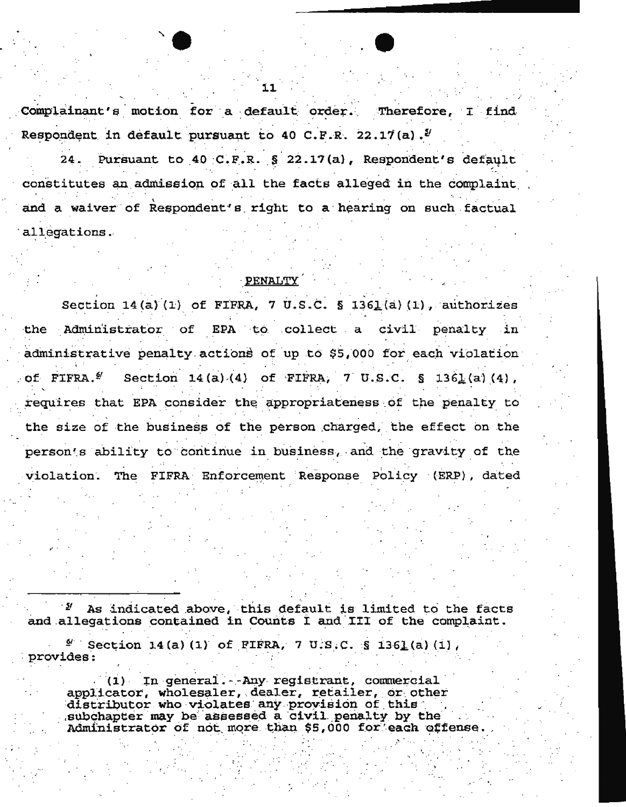Complainant's motion for a default order. Therefore, I find Respondent in default pursuant to 40 C.F.R. 22.17(a).<sup>2</sup>

Pursuant to 40 C.F.R. § 22.17(a), Respondent's default  $24.$ constitutes an admission of all the facts alleged in the complaint and a waiver of Respondent's right to a hearing on such factual allegations.

## PENALTY

Section 14(a)(1) of FIFRA, 7 U.S.C. § 1361(a)(1), authorizes the Administrator of EPA to collect a civil penalty in administrative penalty actions of up to \$5,000 for each violation of FIFRA.<sup>2</sup> Section 14(a)(4) of FIFRA, 7 U.S.C. § 1361(a)(4), requires that EPA consider the appropriateness of the penalty to the size of the business of the person charged, the effect on the person's ability to continue in business, and the gravity of the violation. The FIFRA Enforcement Response Policy (ERP), dated

As indicated above, this default is limited to the facts and allegations contained in Counts I and III of the complaint.

 $\frac{a}{a}$  Section 14(a)(1) of FIFRA, 7 U.S.C. § 1361(a)(1), provides:

(1) In general. - Any registrant, commercial applicator, wholesaler, dealer, retailer, or other distributor who violates any provision of this<br>subchapter may be assessed a civil penalty by the Administrator of not more than \$5,000 for each offense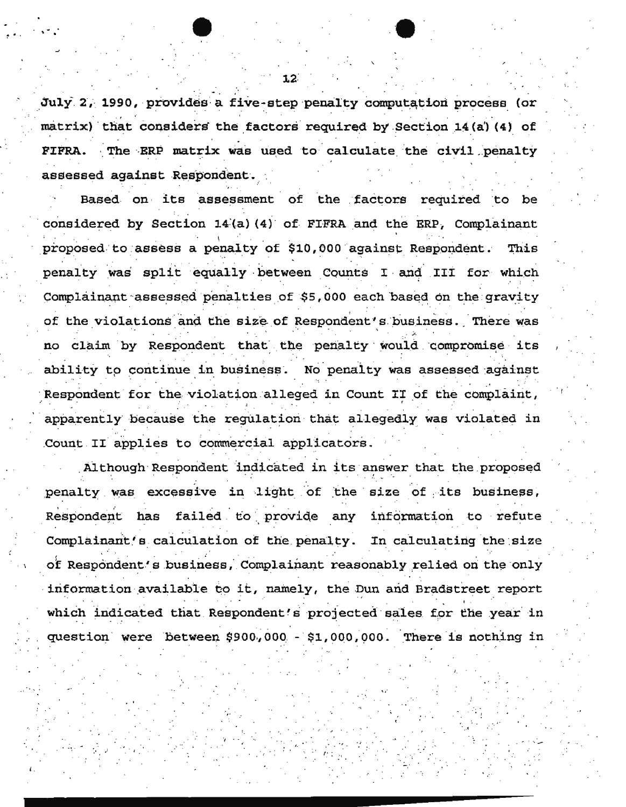July 2, 1990, provides a five-step penalty computation process (or matrix) that considers the factors required by Section 14(a) (4) of The ERP matrix was used to calculate the civil penalty **FIFRA.** assessed against Respondent.

Based on its assessment of the factors required to be considered by Section 14(a)(4) of FIFRA and the ERP, Complainant proposed to assess a penalty of \$10,000 against Respondent. This penalty was split equally between Counts I and III for which Complainant assessed penalties of \$5,000 each based on the gravity of the violations and the size of Respondent's business. There was no claim by Respondent that the penalty would compromise its ability to continue in business. No penalty was assessed against Respondent for the violation alleged in Count II of the complaint, apparently because the regulation that allegedly was violated in Count II applies to commercial applicators.

Although Respondent indicated in its answer that the proposed penalty was excessive in light of the size of its business, Respondent has failed to provide any information to refute Complainant's calculation of the penalty. In calculating the size of Respondent's business, Complainant reasonably relied on the only information available to it, namely, the Dun and Bradstreet report which indicated that Respondent's projected sales for the year in question were between \$900,000 - \$1,000,000. There is nothing in

 $12$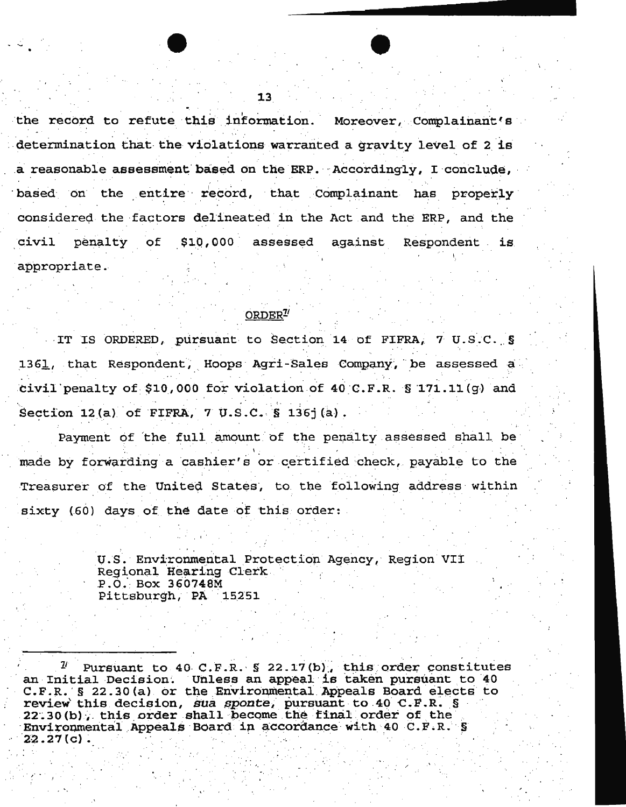the record to refute this information. Moreover, Complainant's determination that the violations warranted a gravity level of 2 is a reasonable assessment based on the ERP. Accordingly, I conclude, based on the entire record, that Complainant has properly considered the factors delineated in the Act and the ERP, and the penalty of \$10,000 assessed against civil Respondent is appropriate.

## ORDER<sup>7</sup>

IT IS ORDERED, pursuant to Section 14 of FIFRA, 7 U.S.C. § 1361, that Respondent, Hoops Agri-Sales Company, be assessed a civil penalty of \$10,000 for violation of 40 C.F.R.  $\S$  171.11(g) and Section 12(a) of FIFRA, 7 U.S.C.  $S$  136j(a).

Payment of the full amount of the penalty assessed shall be made by forwarding a cashier's or certified check, payable to the Treasurer of the United States, to the following address within sixty (60) days of the date of this order:

> U.S. Environmental Protection Agency, Region VII Regional Hearing Clerk P.O. Box 360748M Pittsburgh, PA 15251

Pursuant to 40 C.F.R. § 22.17(b), this order constitutes an Initial Decision. Unless an appeal is taken pursuant to 40 C.F.R. § 22.30(a) or the Environmental Appeals Board elects to review this decision, sua sponte, pursuant to 40 C.F.R. § 22.30(b), this order shall become the final order of the Environmental Appeals Board in accordance with 40 C.F.R. S  $22.27(c)$ .

13